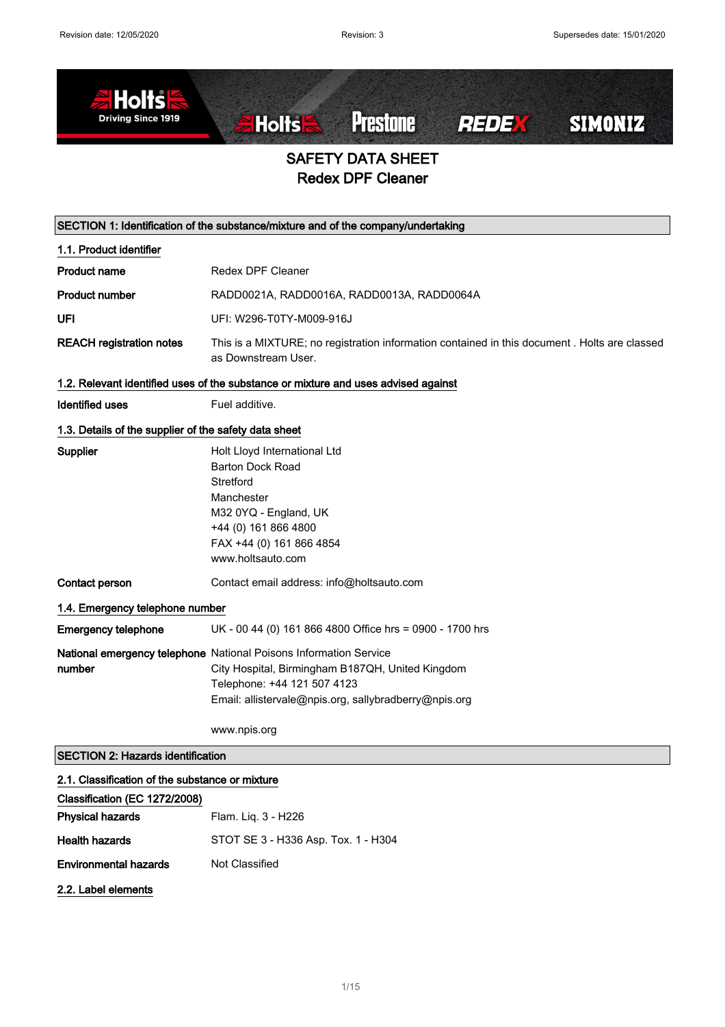

# SAFETY DATA SHEET Redex DPF Cleaner

|                                                                                    | SECTION 1: Identification of the substance/mixture and of the company/undertaking                                                                                                                                             |  |  |
|------------------------------------------------------------------------------------|-------------------------------------------------------------------------------------------------------------------------------------------------------------------------------------------------------------------------------|--|--|
| 1.1. Product identifier                                                            |                                                                                                                                                                                                                               |  |  |
| <b>Product name</b>                                                                | <b>Redex DPF Cleaner</b>                                                                                                                                                                                                      |  |  |
| <b>Product number</b>                                                              | RADD0021A, RADD0016A, RADD0013A, RADD0064A                                                                                                                                                                                    |  |  |
| UFI                                                                                | UFI: W296-T0TY-M009-916J                                                                                                                                                                                                      |  |  |
| <b>REACH registration notes</b>                                                    | This is a MIXTURE; no registration information contained in this document . Holts are classed<br>as Downstream User.                                                                                                          |  |  |
| 1.2. Relevant identified uses of the substance or mixture and uses advised against |                                                                                                                                                                                                                               |  |  |
| <b>Identified uses</b>                                                             | Fuel additive.                                                                                                                                                                                                                |  |  |
| 1.3. Details of the supplier of the safety data sheet                              |                                                                                                                                                                                                                               |  |  |
| Supplier                                                                           | Holt Lloyd International Ltd<br><b>Barton Dock Road</b><br>Stretford<br>Manchester<br>M32 0YQ - England, UK<br>+44 (0) 161 866 4800<br>FAX +44 (0) 161 866 4854<br>www.holtsauto.com                                          |  |  |
| Contact person                                                                     | Contact email address: info@holtsauto.com                                                                                                                                                                                     |  |  |
|                                                                                    | 1.4. Emergency telephone number                                                                                                                                                                                               |  |  |
| <b>Emergency telephone</b>                                                         | UK - 00 44 (0) 161 866 4800 Office hrs = 0900 - 1700 hrs                                                                                                                                                                      |  |  |
| number                                                                             | National emergency telephone National Poisons Information Service<br>City Hospital, Birmingham B187QH, United Kingdom<br>Telephone: +44 121 507 4123<br>Email: allistervale@npis.org, sallybradberry@npis.org<br>www.npis.org |  |  |
| <b>SECTION 2: Hazards identification</b>                                           |                                                                                                                                                                                                                               |  |  |
|                                                                                    |                                                                                                                                                                                                                               |  |  |

#### 2.1. Classification of the substance or mixture

| Classification (EC 1272/2008) |                                     |
|-------------------------------|-------------------------------------|
| <b>Physical hazards</b>       | Flam. Lig. 3 - H226                 |
| <b>Health hazards</b>         | STOT SE 3 - H336 Asp. Tox. 1 - H304 |
| <b>Environmental hazards</b>  | Not Classified                      |
| 2.2. Label elements           |                                     |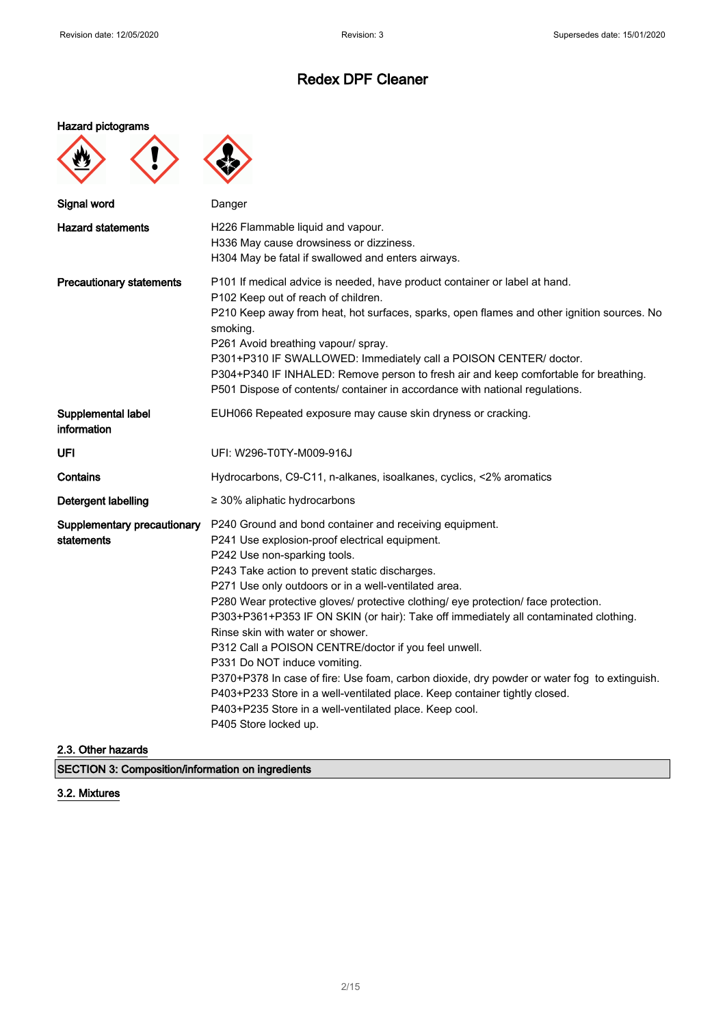#### Hazard pictograms

Ţ



| Signal word                               | Danger                                                                                                                                                                                                                                                                                                                                                                                                                                                                                                                                                                                                                                                                                                                                                                                                                        |
|-------------------------------------------|-------------------------------------------------------------------------------------------------------------------------------------------------------------------------------------------------------------------------------------------------------------------------------------------------------------------------------------------------------------------------------------------------------------------------------------------------------------------------------------------------------------------------------------------------------------------------------------------------------------------------------------------------------------------------------------------------------------------------------------------------------------------------------------------------------------------------------|
| <b>Hazard statements</b>                  | H226 Flammable liquid and vapour.<br>H336 May cause drowsiness or dizziness.<br>H304 May be fatal if swallowed and enters airways.                                                                                                                                                                                                                                                                                                                                                                                                                                                                                                                                                                                                                                                                                            |
| <b>Precautionary statements</b>           | P101 If medical advice is needed, have product container or label at hand.<br>P102 Keep out of reach of children.<br>P210 Keep away from heat, hot surfaces, sparks, open flames and other ignition sources. No<br>smoking.<br>P261 Avoid breathing vapour/ spray.<br>P301+P310 IF SWALLOWED: Immediately call a POISON CENTER/ doctor.<br>P304+P340 IF INHALED: Remove person to fresh air and keep comfortable for breathing.<br>P501 Dispose of contents/ container in accordance with national regulations.                                                                                                                                                                                                                                                                                                               |
| Supplemental label<br>information         | EUH066 Repeated exposure may cause skin dryness or cracking.                                                                                                                                                                                                                                                                                                                                                                                                                                                                                                                                                                                                                                                                                                                                                                  |
| UFI                                       | UFI: W296-T0TY-M009-916J                                                                                                                                                                                                                                                                                                                                                                                                                                                                                                                                                                                                                                                                                                                                                                                                      |
| <b>Contains</b>                           | Hydrocarbons, C9-C11, n-alkanes, isoalkanes, cyclics, <2% aromatics                                                                                                                                                                                                                                                                                                                                                                                                                                                                                                                                                                                                                                                                                                                                                           |
| <b>Detergent labelling</b>                | $\geq$ 30% aliphatic hydrocarbons                                                                                                                                                                                                                                                                                                                                                                                                                                                                                                                                                                                                                                                                                                                                                                                             |
| Supplementary precautionary<br>statements | P240 Ground and bond container and receiving equipment.<br>P241 Use explosion-proof electrical equipment.<br>P242 Use non-sparking tools.<br>P243 Take action to prevent static discharges.<br>P271 Use only outdoors or in a well-ventilated area.<br>P280 Wear protective gloves/ protective clothing/ eye protection/ face protection.<br>P303+P361+P353 IF ON SKIN (or hair): Take off immediately all contaminated clothing.<br>Rinse skin with water or shower.<br>P312 Call a POISON CENTRE/doctor if you feel unwell.<br>P331 Do NOT induce vomiting.<br>P370+P378 In case of fire: Use foam, carbon dioxide, dry powder or water fog to extinguish.<br>P403+P233 Store in a well-ventilated place. Keep container tightly closed.<br>P403+P235 Store in a well-ventilated place. Keep cool.<br>P405 Store locked up. |

#### 2.3. Other hazards

SECTION 3: Composition/information on ingredients

#### 3.2. Mixtures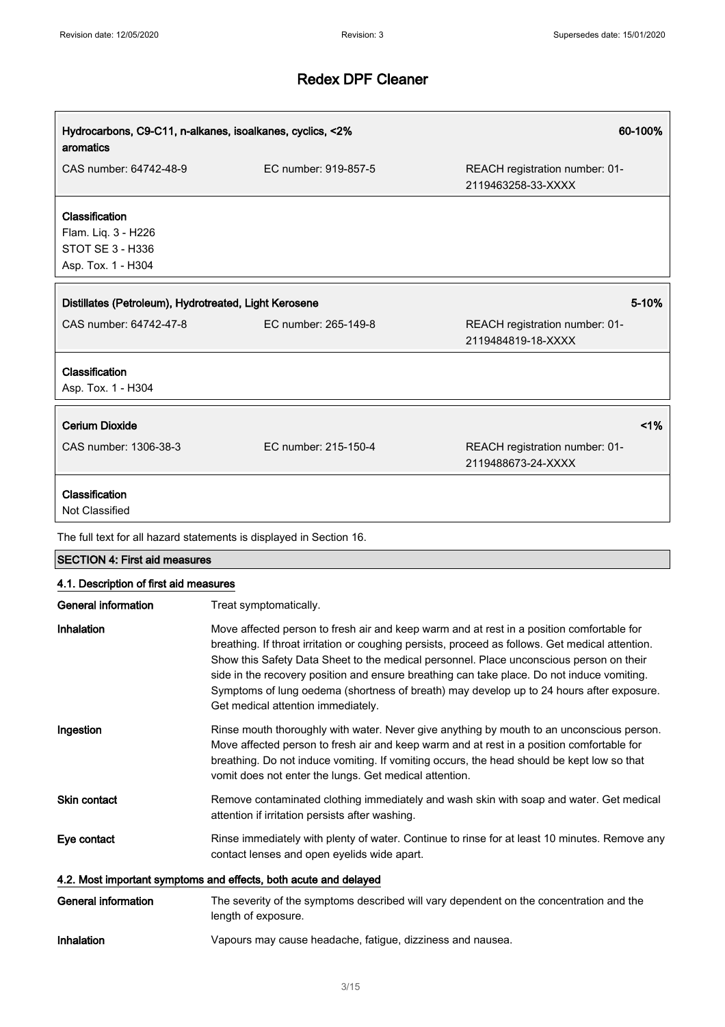| Hydrocarbons, C9-C11, n-alkanes, isoalkanes, cyclics, <2%<br>60-100%<br>aromatics      |                                                                                                                                                                                                                                                                                                                                                                                                                                                                                                                                                    |                                                      |
|----------------------------------------------------------------------------------------|----------------------------------------------------------------------------------------------------------------------------------------------------------------------------------------------------------------------------------------------------------------------------------------------------------------------------------------------------------------------------------------------------------------------------------------------------------------------------------------------------------------------------------------------------|------------------------------------------------------|
| CAS number: 64742-48-9                                                                 | EC number: 919-857-5                                                                                                                                                                                                                                                                                                                                                                                                                                                                                                                               | REACH registration number: 01-<br>2119463258-33-XXXX |
| Classification<br>Flam. Liq. 3 - H226<br><b>STOT SE 3 - H336</b><br>Asp. Tox. 1 - H304 |                                                                                                                                                                                                                                                                                                                                                                                                                                                                                                                                                    |                                                      |
| Distillates (Petroleum), Hydrotreated, Light Kerosene                                  |                                                                                                                                                                                                                                                                                                                                                                                                                                                                                                                                                    | 5-10%                                                |
| CAS number: 64742-47-8                                                                 | EC number: 265-149-8                                                                                                                                                                                                                                                                                                                                                                                                                                                                                                                               | REACH registration number: 01-<br>2119484819-18-XXXX |
| Classification<br>Asp. Tox. 1 - H304                                                   |                                                                                                                                                                                                                                                                                                                                                                                                                                                                                                                                                    |                                                      |
| <b>Cerium Dioxide</b>                                                                  |                                                                                                                                                                                                                                                                                                                                                                                                                                                                                                                                                    | 1%                                                   |
| CAS number: 1306-38-3                                                                  | EC number: 215-150-4                                                                                                                                                                                                                                                                                                                                                                                                                                                                                                                               | REACH registration number: 01-<br>2119488673-24-XXXX |
| Classification<br><b>Not Classified</b>                                                |                                                                                                                                                                                                                                                                                                                                                                                                                                                                                                                                                    |                                                      |
|                                                                                        | The full text for all hazard statements is displayed in Section 16.                                                                                                                                                                                                                                                                                                                                                                                                                                                                                |                                                      |
| <b>SECTION 4: First aid measures</b>                                                   |                                                                                                                                                                                                                                                                                                                                                                                                                                                                                                                                                    |                                                      |
| 4.1. Description of first aid measures<br><b>General information</b>                   |                                                                                                                                                                                                                                                                                                                                                                                                                                                                                                                                                    |                                                      |
| Inhalation                                                                             | Treat symptomatically.<br>Move affected person to fresh air and keep warm and at rest in a position comfortable for<br>breathing. If throat irritation or coughing persists, proceed as follows. Get medical attention.<br>Show this Safety Data Sheet to the medical personnel. Place unconscious person on their<br>side in the recovery position and ensure breathing can take place. Do not induce vomiting.<br>Symptoms of lung oedema (shortness of breath) may develop up to 24 hours after exposure.<br>Get medical attention immediately. |                                                      |
| Ingestion                                                                              | Rinse mouth thoroughly with water. Never give anything by mouth to an unconscious person.<br>Move affected person to fresh air and keep warm and at rest in a position comfortable for<br>breathing. Do not induce vomiting. If vomiting occurs, the head should be kept low so that<br>vomit does not enter the lungs. Get medical attention.                                                                                                                                                                                                     |                                                      |
| Skin contact                                                                           | Remove contaminated clothing immediately and wash skin with soap and water. Get medical<br>attention if irritation persists after washing.                                                                                                                                                                                                                                                                                                                                                                                                         |                                                      |
| Eye contact                                                                            | Rinse immediately with plenty of water. Continue to rinse for at least 10 minutes. Remove any<br>contact lenses and open eyelids wide apart.                                                                                                                                                                                                                                                                                                                                                                                                       |                                                      |
|                                                                                        | 4.2. Most important symptoms and effects, both acute and delayed                                                                                                                                                                                                                                                                                                                                                                                                                                                                                   |                                                      |
| <b>General information</b>                                                             | The severity of the symptoms described will vary dependent on the concentration and the<br>length of exposure.                                                                                                                                                                                                                                                                                                                                                                                                                                     |                                                      |
| Inhalation                                                                             | Vapours may cause headache, fatigue, dizziness and nausea.                                                                                                                                                                                                                                                                                                                                                                                                                                                                                         |                                                      |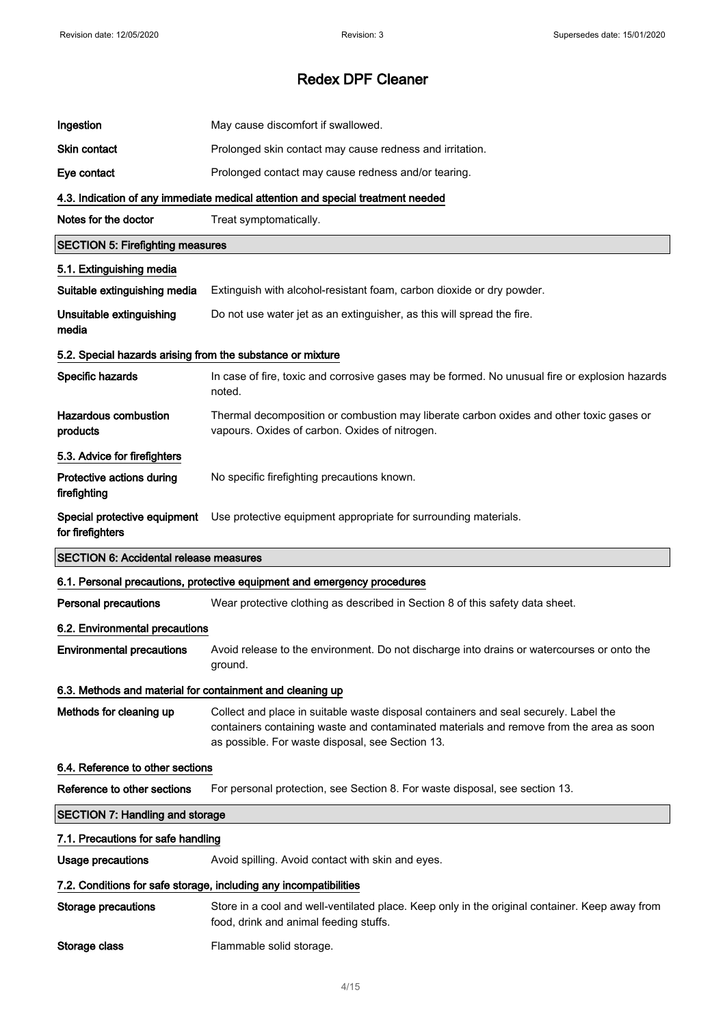| Ingestion                                                  | May cause discomfort if swallowed.                                                                                                                                                                                                  |  |
|------------------------------------------------------------|-------------------------------------------------------------------------------------------------------------------------------------------------------------------------------------------------------------------------------------|--|
| <b>Skin contact</b>                                        | Prolonged skin contact may cause redness and irritation.                                                                                                                                                                            |  |
| Eye contact                                                | Prolonged contact may cause redness and/or tearing.                                                                                                                                                                                 |  |
|                                                            | 4.3. Indication of any immediate medical attention and special treatment needed                                                                                                                                                     |  |
| Notes for the doctor                                       | Treat symptomatically.                                                                                                                                                                                                              |  |
| <b>SECTION 5: Firefighting measures</b>                    |                                                                                                                                                                                                                                     |  |
| 5.1. Extinguishing media                                   |                                                                                                                                                                                                                                     |  |
| Suitable extinguishing media                               | Extinguish with alcohol-resistant foam, carbon dioxide or dry powder.                                                                                                                                                               |  |
| Unsuitable extinguishing<br>media                          | Do not use water jet as an extinguisher, as this will spread the fire.                                                                                                                                                              |  |
| 5.2. Special hazards arising from the substance or mixture |                                                                                                                                                                                                                                     |  |
| Specific hazards                                           | In case of fire, toxic and corrosive gases may be formed. No unusual fire or explosion hazards<br>noted.                                                                                                                            |  |
| <b>Hazardous combustion</b><br>products                    | Thermal decomposition or combustion may liberate carbon oxides and other toxic gases or<br>vapours. Oxides of carbon. Oxides of nitrogen.                                                                                           |  |
| 5.3. Advice for firefighters                               |                                                                                                                                                                                                                                     |  |
| Protective actions during<br>firefighting                  | No specific firefighting precautions known.                                                                                                                                                                                         |  |
| Special protective equipment<br>for firefighters           | Use protective equipment appropriate for surrounding materials.                                                                                                                                                                     |  |
| <b>SECTION 6: Accidental release measures</b>              |                                                                                                                                                                                                                                     |  |
|                                                            |                                                                                                                                                                                                                                     |  |
|                                                            | 6.1. Personal precautions, protective equipment and emergency procedures                                                                                                                                                            |  |
| <b>Personal precautions</b>                                | Wear protective clothing as described in Section 8 of this safety data sheet.                                                                                                                                                       |  |
| 6.2. Environmental precautions                             |                                                                                                                                                                                                                                     |  |
| <b>Environmental precautions</b>                           | Avoid release to the environment. Do not discharge into drains or watercourses or onto the<br>ground.                                                                                                                               |  |
| 6.3. Methods and material for containment and cleaning up  |                                                                                                                                                                                                                                     |  |
| Methods for cleaning up                                    | Collect and place in suitable waste disposal containers and seal securely. Label the<br>containers containing waste and contaminated materials and remove from the area as soon<br>as possible. For waste disposal, see Section 13. |  |
| 6.4. Reference to other sections                           |                                                                                                                                                                                                                                     |  |
| Reference to other sections                                | For personal protection, see Section 8. For waste disposal, see section 13.                                                                                                                                                         |  |
| <b>SECTION 7: Handling and storage</b>                     |                                                                                                                                                                                                                                     |  |
| 7.1. Precautions for safe handling                         |                                                                                                                                                                                                                                     |  |
| <b>Usage precautions</b>                                   | Avoid spilling. Avoid contact with skin and eyes.                                                                                                                                                                                   |  |
|                                                            | 7.2. Conditions for safe storage, including any incompatibilities                                                                                                                                                                   |  |
| Storage precautions                                        | Store in a cool and well-ventilated place. Keep only in the original container. Keep away from<br>food, drink and animal feeding stuffs.                                                                                            |  |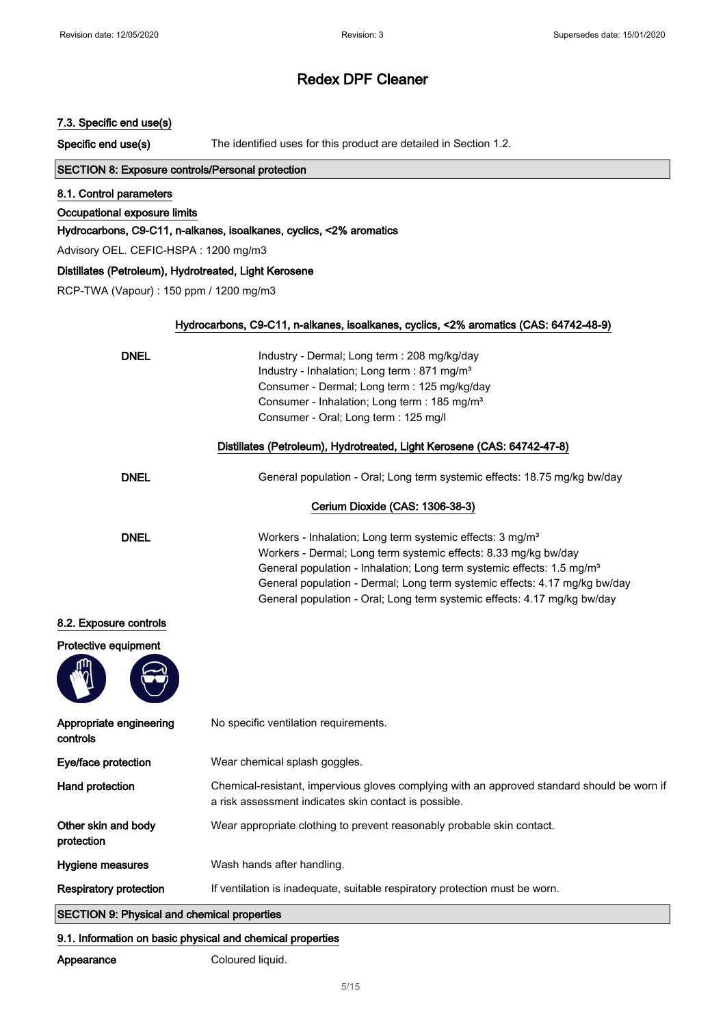#### 7.3. Specific end use(s)

Specific end use(s) The identified uses for this product are detailed in Section 1.2.

### SECTION 8: Exposure controls/Personal protection

#### 8.1. Control parameters

Occupational exposure limits

#### Hydrocarbons, C9-C11, n-alkanes, isoalkanes, cyclics, <2% aromatics

Advisory OEL. CEFIC-HSPA : 1200 mg/m3

#### Distillates (Petroleum), Hydrotreated, Light Kerosene

RCP-TWA (Vapour) : 150 ppm / 1200 mg/m3

| <b>DNEL</b>                  | Industry - Dermal; Long term : 208 mg/kg/day<br>Industry - Inhalation; Long term : 871 mg/m <sup>3</sup><br>Consumer - Dermal; Long term : 125 mg/kg/day<br>Consumer - Inhalation; Long term : 185 mg/m <sup>3</sup><br>Consumer - Oral; Long term : 125 mg/l                                                                                                                            |
|------------------------------|------------------------------------------------------------------------------------------------------------------------------------------------------------------------------------------------------------------------------------------------------------------------------------------------------------------------------------------------------------------------------------------|
|                              | Distillates (Petroleum), Hydrotreated, Light Kerosene (CAS: 64742-47-8)                                                                                                                                                                                                                                                                                                                  |
| <b>DNEL</b>                  | General population - Oral; Long term systemic effects: 18.75 mg/kg bw/day                                                                                                                                                                                                                                                                                                                |
|                              | Cerium Dioxide (CAS: 1306-38-3)                                                                                                                                                                                                                                                                                                                                                          |
| <b>DNEL</b>                  | Workers - Inhalation; Long term systemic effects: 3 mg/m <sup>3</sup><br>Workers - Dermal; Long term systemic effects: 8.33 mg/kg bw/day<br>General population - Inhalation; Long term systemic effects: 1.5 mg/m <sup>3</sup><br>General population - Dermal; Long term systemic effects: 4.17 mg/kg bw/day<br>General population - Oral; Long term systemic effects: 4.17 mg/kg bw/day |
| sure controls<br>e equipment |                                                                                                                                                                                                                                                                                                                                                                                          |
| ate engineering              | No specific ventilation requirements.                                                                                                                                                                                                                                                                                                                                                    |
| protection                   | Wear chemical splash goggles.                                                                                                                                                                                                                                                                                                                                                            |
|                              |                                                                                                                                                                                                                                                                                                                                                                                          |

## 8.2. Expo

Protective



| Appropriate engineering<br>controls                | No specific ventilation requirements.                                                                                                                |
|----------------------------------------------------|------------------------------------------------------------------------------------------------------------------------------------------------------|
| Eye/face protection                                | Wear chemical splash goggles.                                                                                                                        |
| Hand protection                                    | Chemical-resistant, impervious gloves complying with an approved standard should be worn if<br>a risk assessment indicates skin contact is possible. |
| Other skin and body<br>protection                  | Wear appropriate clothing to prevent reasonably probable skin contact.                                                                               |
| <b>Hygiene measures</b>                            | Wash hands after handling.                                                                                                                           |
| <b>Respiratory protection</b>                      | If ventilation is inadequate, suitable respiratory protection must be worn.                                                                          |
| <b>CECTION Q. Physical and chamical proportion</b> |                                                                                                                                                      |

## SECTION 9: Physical and chemical properties

#### 9.1. Information on basic physical and chemical properties

Appearance Coloured liquid.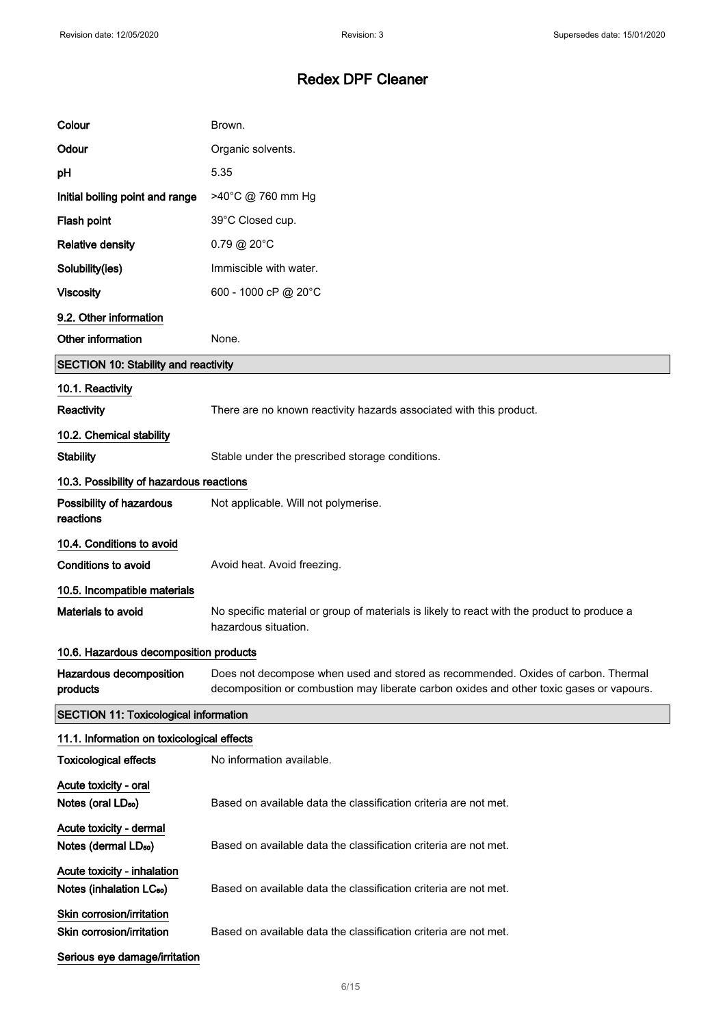| Colour                                                              | Brown.                                                                                                                                                                        |  |
|---------------------------------------------------------------------|-------------------------------------------------------------------------------------------------------------------------------------------------------------------------------|--|
| Odour                                                               | Organic solvents.                                                                                                                                                             |  |
| pH                                                                  | 5.35                                                                                                                                                                          |  |
| Initial boiling point and range                                     | >40°C @ 760 mm Hg                                                                                                                                                             |  |
| Flash point                                                         | 39°C Closed cup.                                                                                                                                                              |  |
| <b>Relative density</b>                                             | $0.79 \text{ @ } 20^{\circ}$ C                                                                                                                                                |  |
| Solubility(ies)                                                     | Immiscible with water.                                                                                                                                                        |  |
| <b>Viscosity</b>                                                    | 600 - 1000 cP @ 20°C                                                                                                                                                          |  |
| 9.2. Other information                                              |                                                                                                                                                                               |  |
| Other information                                                   | None.                                                                                                                                                                         |  |
| <b>SECTION 10: Stability and reactivity</b>                         |                                                                                                                                                                               |  |
| 10.1. Reactivity                                                    |                                                                                                                                                                               |  |
| Reactivity                                                          | There are no known reactivity hazards associated with this product.                                                                                                           |  |
| 10.2. Chemical stability                                            |                                                                                                                                                                               |  |
| <b>Stability</b>                                                    | Stable under the prescribed storage conditions.                                                                                                                               |  |
| 10.3. Possibility of hazardous reactions                            |                                                                                                                                                                               |  |
| Possibility of hazardous<br>reactions                               | Not applicable. Will not polymerise.                                                                                                                                          |  |
| 10.4. Conditions to avoid                                           |                                                                                                                                                                               |  |
| <b>Conditions to avoid</b>                                          | Avoid heat. Avoid freezing.                                                                                                                                                   |  |
| 10.5. Incompatible materials                                        |                                                                                                                                                                               |  |
| Materials to avoid                                                  | No specific material or group of materials is likely to react with the product to produce a<br>hazardous situation.                                                           |  |
| 10.6. Hazardous decomposition products                              |                                                                                                                                                                               |  |
| Hazardous decomposition<br>products                                 | Does not decompose when used and stored as recommended. Oxides of carbon. Thermal<br>decomposition or combustion may liberate carbon oxides and other toxic gases or vapours. |  |
| <b>SECTION 11: Toxicological information</b>                        |                                                                                                                                                                               |  |
| 11.1. Information on toxicological effects                          |                                                                                                                                                                               |  |
| <b>Toxicological effects</b>                                        | No information available.                                                                                                                                                     |  |
| Acute toxicity - oral<br>Notes (oral LD <sub>50</sub> )             | Based on available data the classification criteria are not met.                                                                                                              |  |
| Acute toxicity - dermal<br>Notes (dermal LD <sub>50</sub> )         | Based on available data the classification criteria are not met.                                                                                                              |  |
| Acute toxicity - inhalation<br>Notes (inhalation LC <sub>50</sub> ) | Based on available data the classification criteria are not met.                                                                                                              |  |
| Skin corrosion/irritation<br>Skin corrosion/irritation              | Based on available data the classification criteria are not met.                                                                                                              |  |
| Serious eye damage/irritation                                       |                                                                                                                                                                               |  |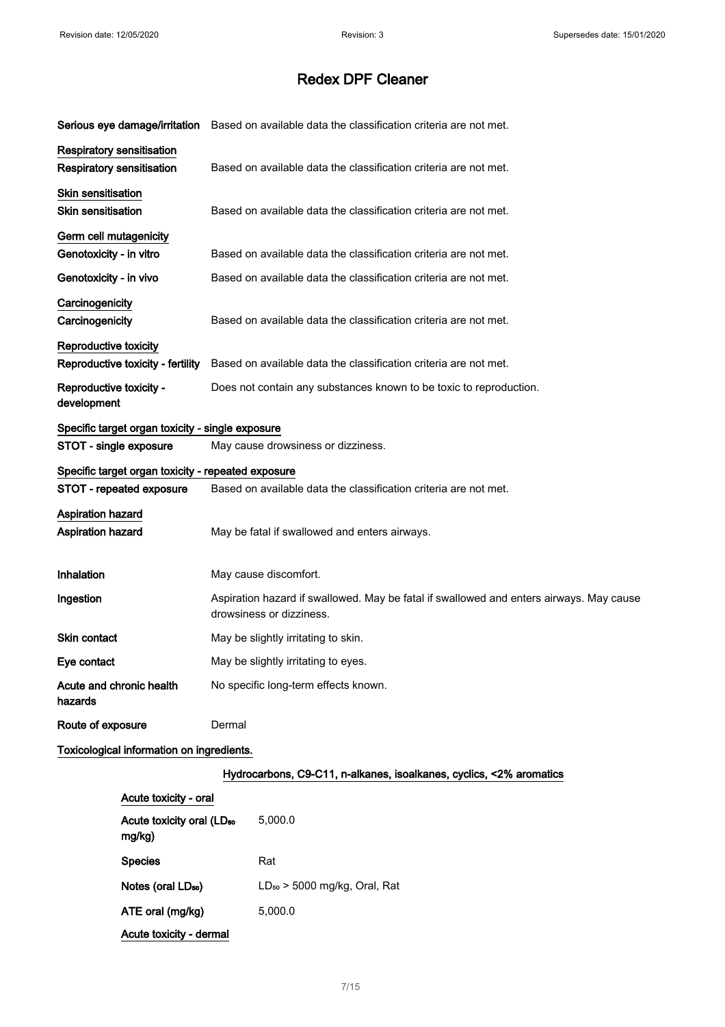|                                                    | Serious eye damage/irritation Based on available data the classification criteria are not met.                      |
|----------------------------------------------------|---------------------------------------------------------------------------------------------------------------------|
| Respiratory sensitisation                          |                                                                                                                     |
| Respiratory sensitisation                          | Based on available data the classification criteria are not met.                                                    |
| <b>Skin sensitisation</b>                          |                                                                                                                     |
| Skin sensitisation                                 | Based on available data the classification criteria are not met.                                                    |
| Germ cell mutagenicity                             |                                                                                                                     |
| Genotoxicity - in vitro                            | Based on available data the classification criteria are not met.                                                    |
| Genotoxicity - in vivo                             | Based on available data the classification criteria are not met.                                                    |
| Carcinogenicity                                    |                                                                                                                     |
| Carcinogenicity                                    | Based on available data the classification criteria are not met.                                                    |
| Reproductive toxicity                              |                                                                                                                     |
| Reproductive toxicity - fertility                  | Based on available data the classification criteria are not met.                                                    |
| Reproductive toxicity -<br>development             | Does not contain any substances known to be toxic to reproduction.                                                  |
| Specific target organ toxicity - single exposure   |                                                                                                                     |
| STOT - single exposure                             | May cause drowsiness or dizziness.                                                                                  |
| Specific target organ toxicity - repeated exposure |                                                                                                                     |
| <b>STOT - repeated exposure</b>                    | Based on available data the classification criteria are not met.                                                    |
| <b>Aspiration hazard</b>                           |                                                                                                                     |
| <b>Aspiration hazard</b>                           | May be fatal if swallowed and enters airways.                                                                       |
| Inhalation                                         | May cause discomfort.                                                                                               |
| Ingestion                                          | Aspiration hazard if swallowed. May be fatal if swallowed and enters airways. May cause<br>drowsiness or dizziness. |
| Skin contact                                       | May be slightly irritating to skin.                                                                                 |
| Eye contact                                        | May be slightly irritating to eyes.                                                                                 |
| Acute and chronic health<br>hazards                | No specific long-term effects known.                                                                                |
| Route of exposure                                  | Dermal                                                                                                              |
| Toxicological information on ingredients.          |                                                                                                                     |

#### Hydrocarbons, C9-C11, n-alkanes, isoalkanes, cyclics, <2% aromatics

| Acute toxicity - oral                           |                                   |
|-------------------------------------------------|-----------------------------------|
| Acute toxicity oral (LD <sub>50</sub><br>mg/kg) | 5.000.0                           |
| <b>Species</b>                                  | Rat                               |
| Notes (oral LD <sub>50</sub> )                  | $LD_{50}$ > 5000 mg/kg, Oral, Rat |
| ATE oral (mg/kg)                                | 5.000.0                           |
| Acute toxicity - dermal                         |                                   |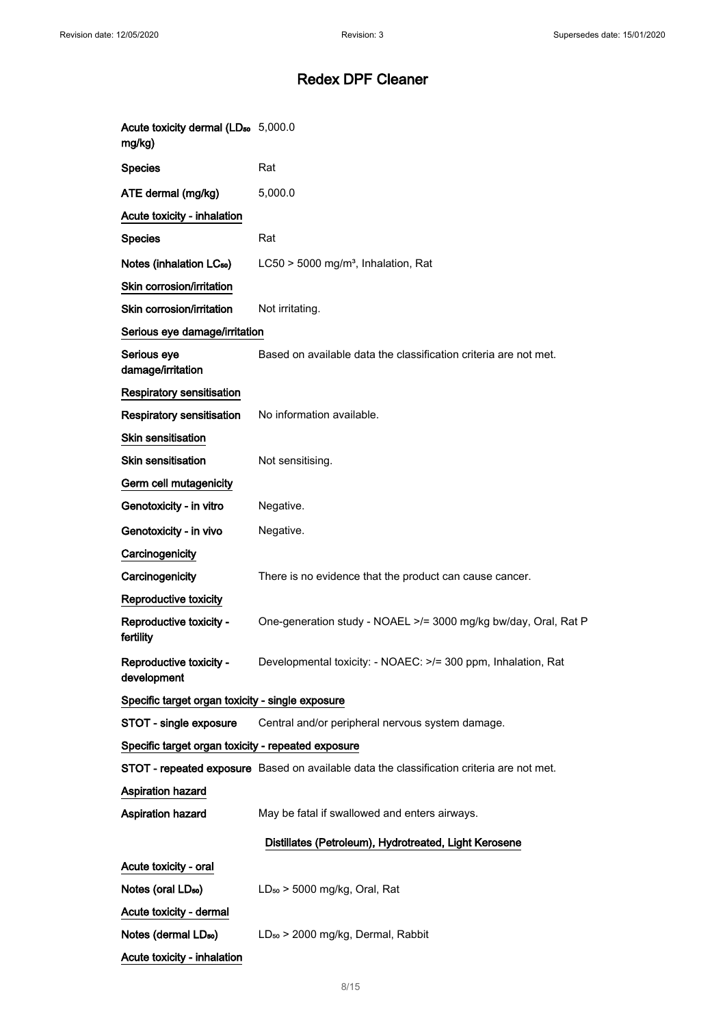| Acute toxicity dermal (LD <sub>50</sub> 5,000.0<br>mg/kg) |                                                                                           |
|-----------------------------------------------------------|-------------------------------------------------------------------------------------------|
| <b>Species</b>                                            | Rat                                                                                       |
| ATE dermal (mg/kg)                                        | 5,000.0                                                                                   |
| Acute toxicity - inhalation                               |                                                                                           |
| <b>Species</b>                                            | Rat                                                                                       |
| Notes (inhalation LC <sub>50</sub> )                      | LC50 > 5000 mg/m <sup>3</sup> , Inhalation, Rat                                           |
| Skin corrosion/irritation                                 |                                                                                           |
| Skin corrosion/irritation                                 | Not irritating.                                                                           |
| Serious eye damage/irritation                             |                                                                                           |
| Serious eye<br>damage/irritation                          | Based on available data the classification criteria are not met.                          |
| Respiratory sensitisation                                 |                                                                                           |
| <b>Respiratory sensitisation</b>                          | No information available.                                                                 |
| <b>Skin sensitisation</b>                                 |                                                                                           |
| <b>Skin sensitisation</b>                                 | Not sensitising.                                                                          |
| Germ cell mutagenicity                                    |                                                                                           |
| Genotoxicity - in vitro                                   | Negative.                                                                                 |
| Genotoxicity - in vivo                                    | Negative.                                                                                 |
| Carcinogenicity                                           |                                                                                           |
| Carcinogenicity                                           | There is no evidence that the product can cause cancer.                                   |
| Reproductive toxicity                                     |                                                                                           |
| Reproductive toxicity -<br>fertility                      | One-generation study - NOAEL >/= 3000 mg/kg bw/day, Oral, Rat P                           |
| Reproductive toxicity -<br>development                    | Developmental toxicity: - NOAEC: >/= 300 ppm, Inhalation, Rat                             |
| Specific target organ toxicity - single exposure          |                                                                                           |
| STOT - single exposure                                    | Central and/or peripheral nervous system damage.                                          |
| Specific target organ toxicity - repeated exposure        |                                                                                           |
|                                                           | STOT - repeated exposure Based on available data the classification criteria are not met. |
| <b>Aspiration hazard</b>                                  |                                                                                           |
| Aspiration hazard                                         | May be fatal if swallowed and enters airways.                                             |
|                                                           | Distillates (Petroleum), Hydrotreated, Light Kerosene                                     |
| Acute toxicity - oral                                     |                                                                                           |
| Notes (oral LD <sub>50</sub> )                            | $LD_{50}$ > 5000 mg/kg, Oral, Rat                                                         |
| Acute toxicity - dermal                                   |                                                                                           |
| Notes (dermal LD <sub>50</sub> )                          | LD <sub>50</sub> > 2000 mg/kg, Dermal, Rabbit                                             |
| Acute toxicity - inhalation                               |                                                                                           |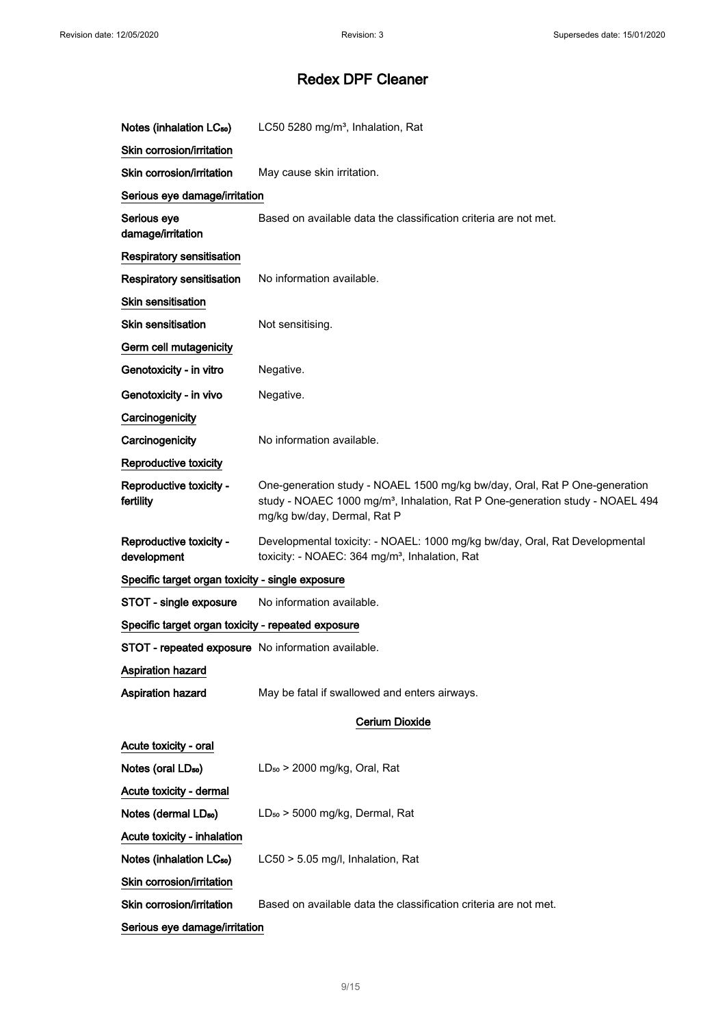| Notes (inhalation LC <sub>50</sub> )               | LC50 5280 mg/m <sup>3</sup> , Inhalation, Rat                                                                                                                                                          |
|----------------------------------------------------|--------------------------------------------------------------------------------------------------------------------------------------------------------------------------------------------------------|
| Skin corrosion/irritation                          |                                                                                                                                                                                                        |
| Skin corrosion/irritation                          | May cause skin irritation.                                                                                                                                                                             |
| Serious eye damage/irritation                      |                                                                                                                                                                                                        |
| Serious eye<br>damage/irritation                   | Based on available data the classification criteria are not met.                                                                                                                                       |
| Respiratory sensitisation                          |                                                                                                                                                                                                        |
| <b>Respiratory sensitisation</b>                   | No information available.                                                                                                                                                                              |
| Skin sensitisation                                 |                                                                                                                                                                                                        |
| <b>Skin sensitisation</b>                          | Not sensitising.                                                                                                                                                                                       |
| Germ cell mutagenicity                             |                                                                                                                                                                                                        |
| Genotoxicity - in vitro                            | Negative.                                                                                                                                                                                              |
| Genotoxicity - in vivo                             | Negative.                                                                                                                                                                                              |
| Carcinogenicity                                    |                                                                                                                                                                                                        |
| Carcinogenicity                                    | No information available.                                                                                                                                                                              |
| Reproductive toxicity                              |                                                                                                                                                                                                        |
| Reproductive toxicity -<br>fertility               | One-generation study - NOAEL 1500 mg/kg bw/day, Oral, Rat P One-generation<br>study - NOAEC 1000 mg/m <sup>3</sup> , Inhalation, Rat P One-generation study - NOAEL 494<br>mg/kg bw/day, Dermal, Rat P |
| Reproductive toxicity -<br>development             | Developmental toxicity: - NOAEL: 1000 mg/kg bw/day, Oral, Rat Developmental<br>toxicity: - NOAEC: 364 mg/m <sup>3</sup> , Inhalation, Rat                                                              |
| Specific target organ toxicity - single exposure   |                                                                                                                                                                                                        |
| STOT - single exposure                             | No information available.                                                                                                                                                                              |
| Specific target organ toxicity - repeated exposure |                                                                                                                                                                                                        |
| STOT - repeated exposure No information available. |                                                                                                                                                                                                        |
| <b>Aspiration hazard</b>                           |                                                                                                                                                                                                        |
| <b>Aspiration hazard</b>                           | May be fatal if swallowed and enters airways.                                                                                                                                                          |
|                                                    | Cerium Dioxide                                                                                                                                                                                         |
| Acute toxicity - oral                              |                                                                                                                                                                                                        |
| Notes (oral LD <sub>50</sub> )                     | $LD_{50}$ > 2000 mg/kg, Oral, Rat                                                                                                                                                                      |
| Acute toxicity - dermal                            |                                                                                                                                                                                                        |
| Notes (dermal LD <sub>50</sub> )                   | LD <sub>50</sub> > 5000 mg/kg, Dermal, Rat                                                                                                                                                             |
| Acute toxicity - inhalation                        |                                                                                                                                                                                                        |
| Notes (inhalation LC <sub>50</sub> )               | LC50 > 5.05 mg/l, Inhalation, Rat                                                                                                                                                                      |
| Skin corrosion/irritation                          |                                                                                                                                                                                                        |
| Skin corrosion/irritation                          | Based on available data the classification criteria are not met.                                                                                                                                       |
| Serious eye damage/irritation                      |                                                                                                                                                                                                        |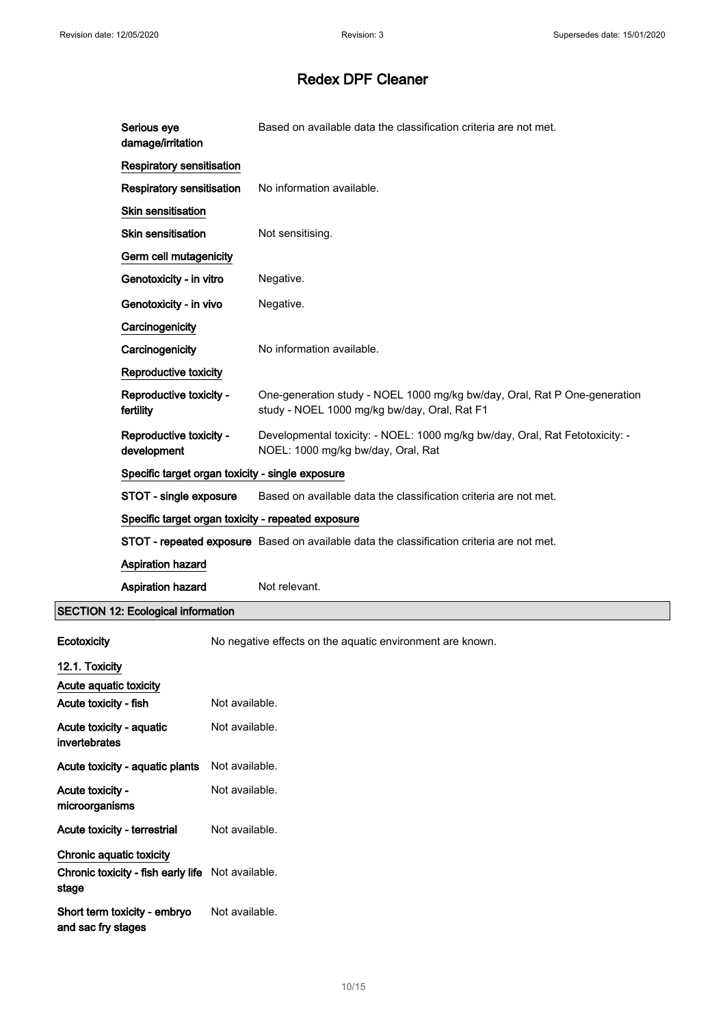|             | Serious eye<br>damage/irritation                   | Based on available data the classification criteria are not met.                                                          |
|-------------|----------------------------------------------------|---------------------------------------------------------------------------------------------------------------------------|
|             | <b>Respiratory sensitisation</b>                   |                                                                                                                           |
|             | Respiratory sensitisation                          | No information available.                                                                                                 |
|             | Skin sensitisation                                 |                                                                                                                           |
|             | <b>Skin sensitisation</b>                          | Not sensitising.                                                                                                          |
|             | Germ cell mutagenicity                             |                                                                                                                           |
|             | Genotoxicity - in vitro                            | Negative.                                                                                                                 |
|             | Genotoxicity - in vivo                             | Negative.                                                                                                                 |
|             | Carcinogenicity                                    |                                                                                                                           |
|             | Carcinogenicity                                    | No information available.                                                                                                 |
|             | Reproductive toxicity                              |                                                                                                                           |
|             | Reproductive toxicity -<br>fertility               | One-generation study - NOEL 1000 mg/kg bw/day, Oral, Rat P One-generation<br>study - NOEL 1000 mg/kg bw/day, Oral, Rat F1 |
|             | Reproductive toxicity -<br>development             | Developmental toxicity: - NOEL: 1000 mg/kg bw/day, Oral, Rat Fetotoxicity: -<br>NOEL: 1000 mg/kg bw/day, Oral, Rat        |
|             | Specific target organ toxicity - single exposure   |                                                                                                                           |
|             | STOT - single exposure                             | Based on available data the classification criteria are not met.                                                          |
|             | Specific target organ toxicity - repeated exposure |                                                                                                                           |
|             |                                                    | STOT - repeated exposure Based on available data the classification criteria are not met.                                 |
|             | Aspiration hazard                                  |                                                                                                                           |
|             | Aspiration hazard                                  | Not relevant.                                                                                                             |
|             | <b>SECTION 12: Ecological information</b>          |                                                                                                                           |
| Ecotoxicity |                                                    | No negative effects on the aquatic environment are known.                                                                 |

|                                                                   | .              |
|-------------------------------------------------------------------|----------------|
| 12.1. Toxicity                                                    |                |
| Acute aquatic toxicity                                            |                |
| Acute toxicity - fish                                             | Not available. |
| Acute toxicity - aquatic<br>invertebrates                         | Not available. |
| Acute toxicity - aquatic plants                                   | Not available. |
| Acute toxicity -<br>microorganisms                                | Not available. |
| Acute toxicity - terrestrial                                      | Not available. |
| Chronic aquatic toxicity                                          |                |
| <b>Chronic toxicity - fish early life</b> Not available.<br>stage |                |
| Short term toxicity - embryo<br>and sac fry stages                | Not available. |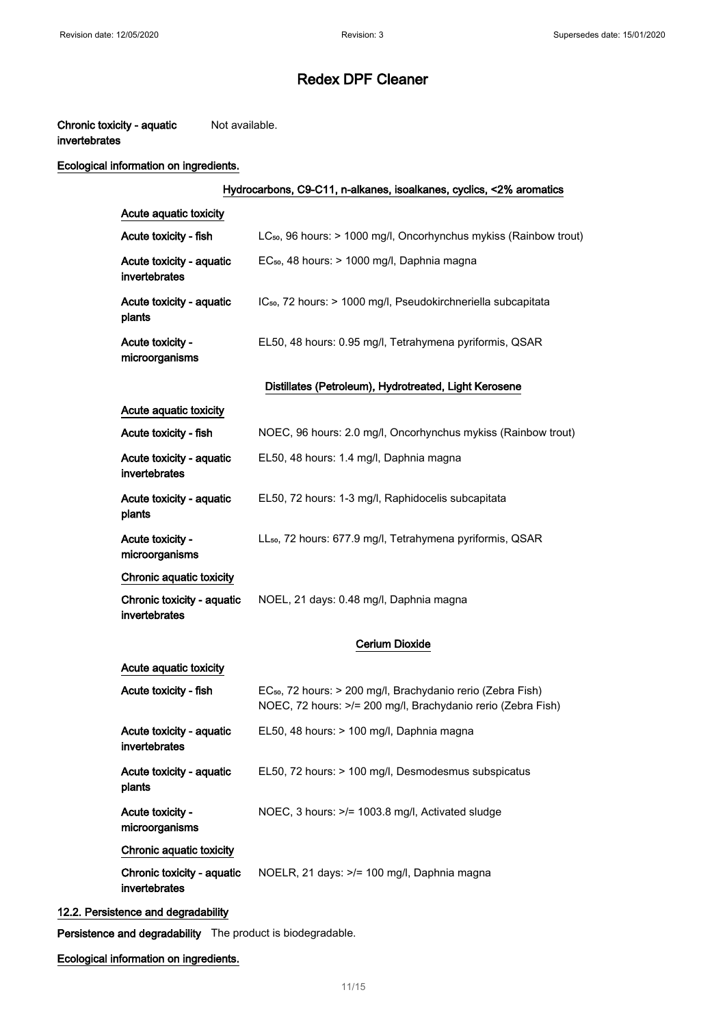#### Chronic toxicity - aquatic invertebrates Not available.

#### Ecological information on ingredients.

## Hydrocarbons, C9-C11, n-alkanes, isoalkanes, cyclics, <2% aromatics Acute aquatic toxicity Acute toxicity - fish LC<sub>50</sub>, 96 hours: > 1000 mg/l, Oncorhynchus mykiss (Rainbow trout) Acute toxicity - aquatic invertebrates EC<sub>50</sub>, 48 hours: > 1000 mg/l, Daphnia magna Acute toxicity - aquatic plants IC<sub>50</sub>, 72 hours: > 1000 mg/l, Pseudokirchneriella subcapitata Acute toxicity microorganisms EL50, 48 hours: 0.95 mg/l, Tetrahymena pyriformis, QSAR Distillates (Petroleum), Hydrotreated, Light Kerosene Acute aquatic toxicity Acute toxicity - fish NOEC, 96 hours: 2.0 mg/l, Oncorhynchus mykiss (Rainbow trout) Acute toxicity - aquatic invertebrates EL50, 48 hours: 1.4 mg/l, Daphnia magna Acute toxicity - aquatic plants EL50, 72 hours: 1-3 mg/l, Raphidocelis subcapitata Acute toxicity microorganisms LL<sub>50</sub>, 72 hours: 677.9 mg/l, Tetrahymena pyriformis, QSAR Chronic aquatic toxicity Chronic toxicity - aquatic invertebrates NOEL, 21 days: 0.48 mg/l, Daphnia magna Cerium Dioxide Acute aquatic toxicity Acute toxicity - fish EC<sub>50</sub>, 72 hours: > 200 mg/l, Brachydanio rerio (Zebra Fish) NOEC, 72 hours: >/= 200 mg/l, Brachydanio rerio (Zebra Fish) Acute toxicity - aquatic invertebrates EL50, 48 hours: > 100 mg/l, Daphnia magna Acute toxicity - aquatic plants EL50, 72 hours: > 100 mg/l, Desmodesmus subspicatus Acute toxicity microorganisms NOEC, 3 hours: >/= 1003.8 mg/l, Activated sludge Chronic aquatic toxicity Chronic toxicity - aquatic NOELR, 21 days: >/= 100 mg/l, Daphnia magna

invertebrates

#### 12.2. Persistence and degradability

Persistence and degradability The product is biodegradable.

Ecological information on ingredients.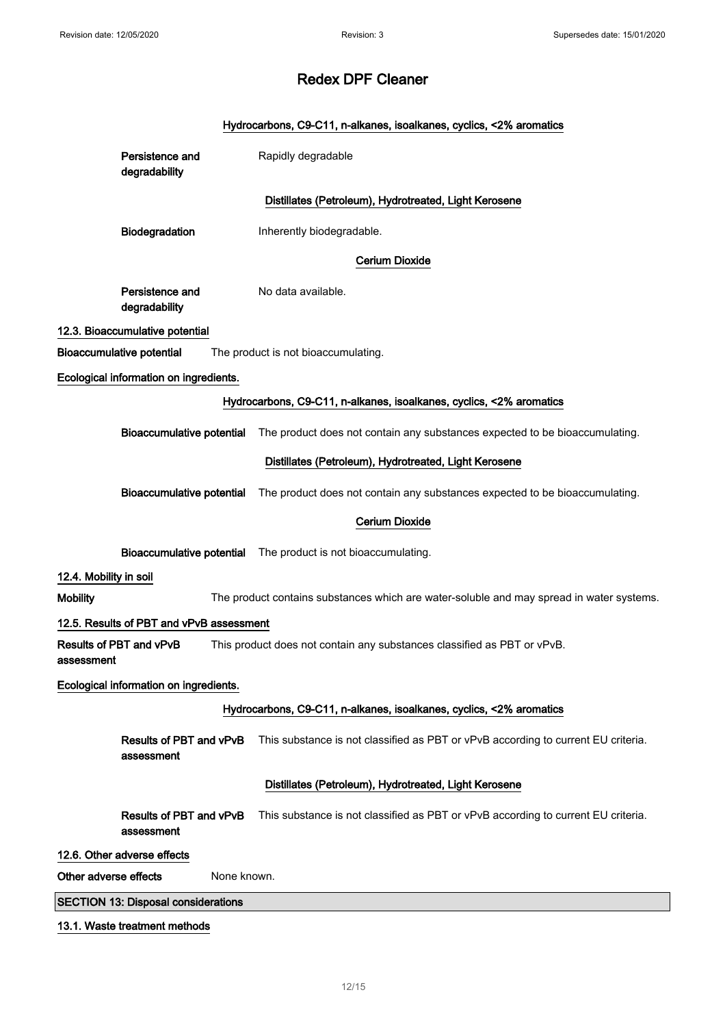|                        |                                            |             | Hydrocarbons, C9-C11, n-alkanes, isoalkanes, cyclics, <2% aromatics                      |
|------------------------|--------------------------------------------|-------------|------------------------------------------------------------------------------------------|
|                        | Persistence and<br>degradability           |             | Rapidly degradable                                                                       |
|                        |                                            |             | Distillates (Petroleum), Hydrotreated, Light Kerosene                                    |
|                        | Biodegradation                             |             | Inherently biodegradable.                                                                |
|                        |                                            |             | <b>Cerium Dioxide</b>                                                                    |
|                        | Persistence and<br>degradability           |             | No data available.                                                                       |
|                        | 12.3. Bioaccumulative potential            |             |                                                                                          |
|                        | <b>Bioaccumulative potential</b>           |             | The product is not bioaccumulating.                                                      |
|                        | Ecological information on ingredients.     |             |                                                                                          |
|                        |                                            |             | Hydrocarbons, C9-C11, n-alkanes, isoalkanes, cyclics, <2% aromatics                      |
|                        | <b>Bioaccumulative potential</b>           |             | The product does not contain any substances expected to be bioaccumulating.              |
|                        |                                            |             | Distillates (Petroleum), Hydrotreated, Light Kerosene                                    |
|                        | Bioaccumulative potential                  |             | The product does not contain any substances expected to be bioaccumulating.              |
|                        |                                            |             | <b>Cerium Dioxide</b>                                                                    |
|                        | <b>Bioaccumulative potential</b>           |             | The product is not bioaccumulating.                                                      |
| 12.4. Mobility in soil |                                            |             |                                                                                          |
| <b>Mobility</b>        |                                            |             | The product contains substances which are water-soluble and may spread in water systems. |
|                        | 12.5. Results of PBT and vPvB assessment   |             |                                                                                          |
| assessment             | Results of PBT and vPvB                    |             | This product does not contain any substances classified as PBT or vPvB.                  |
|                        | Ecological information on ingredients.     |             |                                                                                          |
|                        |                                            |             | Hydrocarbons, C9-C11, n-alkanes, isoalkanes, cyclics, <2% aromatics                      |
|                        | Results of PBT and vPvB<br>assessment      |             | This substance is not classified as PBT or vPvB according to current EU criteria.        |
|                        |                                            |             | Distillates (Petroleum), Hydrotreated, Light Kerosene                                    |
|                        | Results of PBT and vPvB<br>assessment      |             | This substance is not classified as PBT or vPvB according to current EU criteria.        |
|                        | 12.6. Other adverse effects                |             |                                                                                          |
| Other adverse effects  |                                            | None known. |                                                                                          |
|                        | <b>SECTION 13: Disposal considerations</b> |             |                                                                                          |
|                        | 13.1. Waste treatment methods              |             |                                                                                          |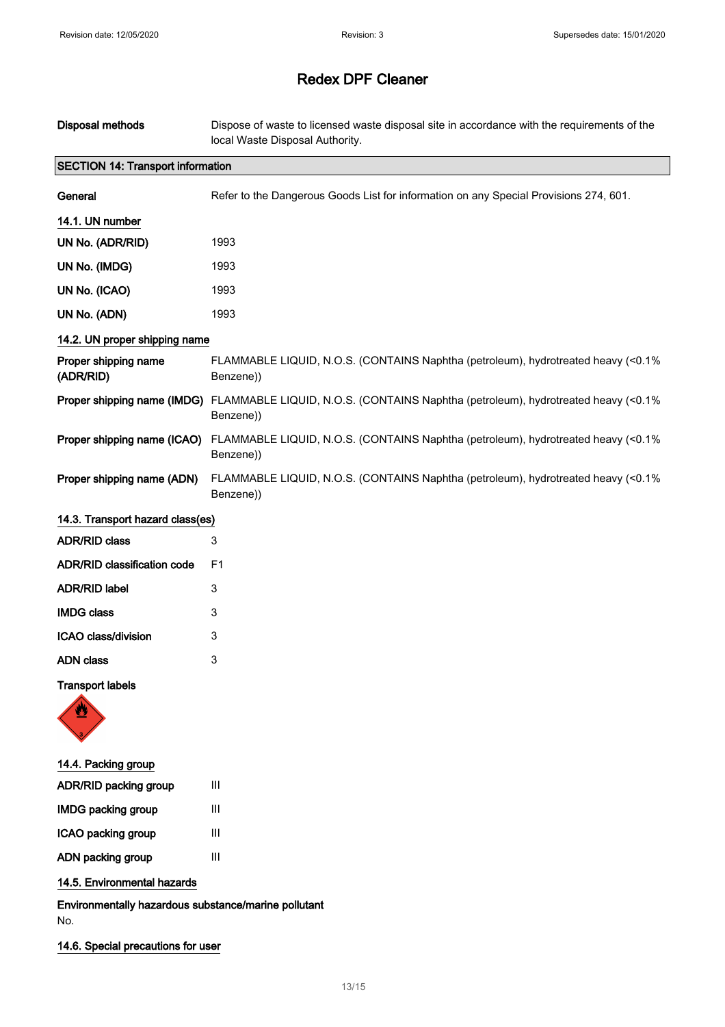| Disposal methods                         | Dispose of waste to licensed waste disposal site in accordance with the requirements of the<br>local Waste Disposal Authority. |
|------------------------------------------|--------------------------------------------------------------------------------------------------------------------------------|
| <b>SECTION 14: Transport information</b> |                                                                                                                                |
| General                                  | Refer to the Dangerous Goods List for information on any Special Provisions 274, 601.                                          |
| 14.1. UN number                          |                                                                                                                                |
| UN No. (ADR/RID)                         | 1993                                                                                                                           |
| UN No. (IMDG)                            | 1993                                                                                                                           |
| UN No. (ICAO)                            | 1993                                                                                                                           |
| UN No. (ADN)                             | 1993                                                                                                                           |
| 14.2. UN proper shipping name            |                                                                                                                                |
| Proper shipping name<br>(ADR/RID)        | FLAMMABLE LIQUID, N.O.S. (CONTAINS Naphtha (petroleum), hydrotreated heavy (<0.1%<br>Benzene))                                 |
| Proper shipping name (IMDG)              | FLAMMABLE LIQUID, N.O.S. (CONTAINS Naphtha (petroleum), hydrotreated heavy (<0.1%<br>Benzene))                                 |
| Proper shipping name (ICAO)              | FLAMMABLE LIQUID, N.O.S. (CONTAINS Naphtha (petroleum), hydrotreated heavy (<0.1%<br>Benzene))                                 |
| Proper shipping name (ADN)               | FLAMMABLE LIQUID, N.O.S. (CONTAINS Naphtha (petroleum), hydrotreated heavy (<0.1%<br>Benzene))                                 |
| 14.3. Transport hazard class(es)         |                                                                                                                                |
| <b>ADR/RID class</b>                     | 3                                                                                                                              |
| ADR/RID classification code              | F <sub>1</sub>                                                                                                                 |
| <b>ADR/RID label</b>                     | 3                                                                                                                              |
| <b>IMDG class</b>                        | 3                                                                                                                              |
| ICAO class/division                      | 3                                                                                                                              |
| <b>ADN</b> class                         | 3                                                                                                                              |
| <b>Transport labels</b>                  |                                                                                                                                |
| 14.4. Packing group                      |                                                                                                                                |
| ADR/RID packing group                    | Ш                                                                                                                              |
| <b>IMDG packing group</b>                | $\ensuremath{\mathsf{III}}\xspace$                                                                                             |
| ICAO packing group                       | $\ensuremath{\mathsf{III}}\xspace$                                                                                             |
| ADN packing group                        | $\mathbf{III}$                                                                                                                 |
| 14.5. Environmental hazards              |                                                                                                                                |

Environmentally hazardous substance/marine pollutant No.

14.6. Special precautions for user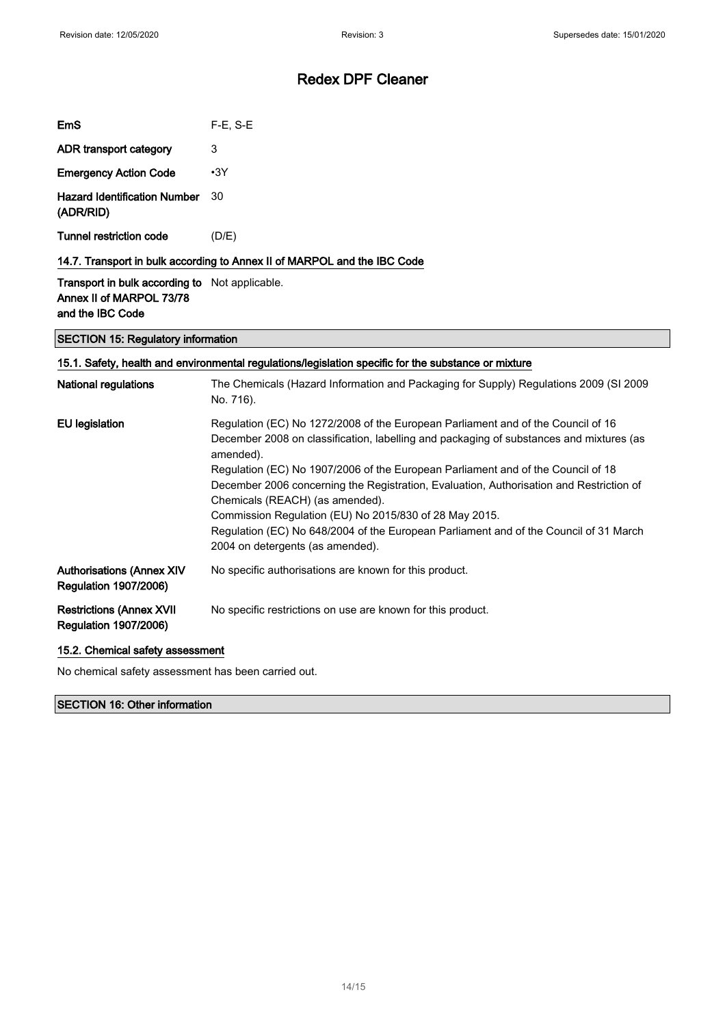| EmS                                              | $F-E. S-E$                                                               |
|--------------------------------------------------|--------------------------------------------------------------------------|
| ADR transport category                           | 3                                                                        |
| <b>Emergency Action Code</b>                     | $\cdot$ 3Y                                                               |
| <b>Hazard Identification Number</b><br>(ADR/RID) | 30                                                                       |
| Tunnel restriction code                          | (D/E)                                                                    |
|                                                  | 14.7. Transport in bulk according to Annex II of MARPOL and the IBC Code |

Transport in bulk according to Not applicable. Annex II of MARPOL 73/78 and the IBC Code

#### SECTION 15: Regulatory information

| 15.1. Safety, health and environmental regulations/legislation specific for the substance or mixture |                                                                                                                                                                                                                                                                                                                                                                                                                                                                                                                                                                                                   |  |
|------------------------------------------------------------------------------------------------------|---------------------------------------------------------------------------------------------------------------------------------------------------------------------------------------------------------------------------------------------------------------------------------------------------------------------------------------------------------------------------------------------------------------------------------------------------------------------------------------------------------------------------------------------------------------------------------------------------|--|
| <b>National regulations</b>                                                                          | The Chemicals (Hazard Information and Packaging for Supply) Regulations 2009 (SI 2009<br>No. 716).                                                                                                                                                                                                                                                                                                                                                                                                                                                                                                |  |
| EU legislation                                                                                       | Regulation (EC) No 1272/2008 of the European Parliament and of the Council of 16<br>December 2008 on classification, labelling and packaging of substances and mixtures (as<br>amended).<br>Regulation (EC) No 1907/2006 of the European Parliament and of the Council of 18<br>December 2006 concerning the Registration, Evaluation, Authorisation and Restriction of<br>Chemicals (REACH) (as amended).<br>Commission Regulation (EU) No 2015/830 of 28 May 2015.<br>Regulation (EC) No 648/2004 of the European Parliament and of the Council of 31 March<br>2004 on detergents (as amended). |  |
| <b>Authorisations (Annex XIV</b><br><b>Regulation 1907/2006)</b>                                     | No specific authorisations are known for this product.                                                                                                                                                                                                                                                                                                                                                                                                                                                                                                                                            |  |
| <b>Restrictions (Annex XVII</b><br><b>Regulation 1907/2006)</b>                                      | No specific restrictions on use are known for this product.                                                                                                                                                                                                                                                                                                                                                                                                                                                                                                                                       |  |

#### 15.2. Chemical safety assessment

No chemical safety assessment has been carried out.

#### SECTION 16: Other information